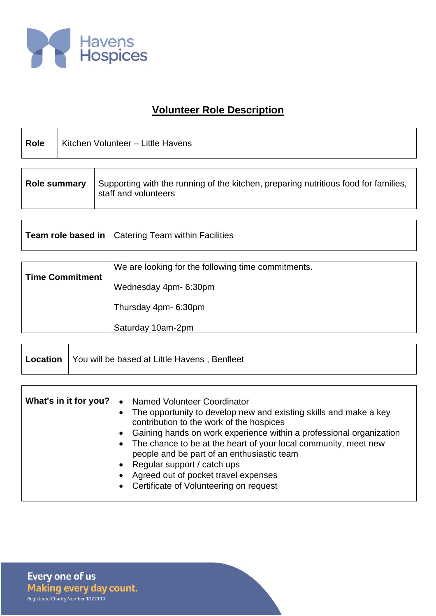

## **Volunteer Role Description**

| <b>Role</b>         | Kitchen Volunteer - Little Havens |                                                                                                             |
|---------------------|-----------------------------------|-------------------------------------------------------------------------------------------------------------|
|                     |                                   |                                                                                                             |
| <b>Role summary</b> |                                   | Supporting with the running of the kitchen, preparing nutritious food for families,<br>staff and volunteers |

| Team role based in   Catering Team within Facilities |
|------------------------------------------------------|
|                                                      |

|                        | We are looking for the following time commitments. |
|------------------------|----------------------------------------------------|
| <b>Time Commitment</b> | Wednesday 4pm- 6:30pm                              |
|                        | Thursday 4pm- 6:30pm                               |
|                        | Saturday 10am-2pm                                  |

| Location   You will be based at Little Havens, Benfleet |
|---------------------------------------------------------|
|                                                         |

| What's in it for you? | Named Volunteer Coordinator<br>$\bullet$<br>The opportunity to develop new and existing skills and make a key<br>contribution to the work of the hospices<br>Gaining hands on work experience within a professional organization<br>The chance to be at the heart of your local community, meet new<br>people and be part of an enthusiastic team<br>Regular support / catch ups<br>Agreed out of pocket travel expenses<br>Certificate of Volunteering on request |
|-----------------------|--------------------------------------------------------------------------------------------------------------------------------------------------------------------------------------------------------------------------------------------------------------------------------------------------------------------------------------------------------------------------------------------------------------------------------------------------------------------|
|-----------------------|--------------------------------------------------------------------------------------------------------------------------------------------------------------------------------------------------------------------------------------------------------------------------------------------------------------------------------------------------------------------------------------------------------------------------------------------------------------------|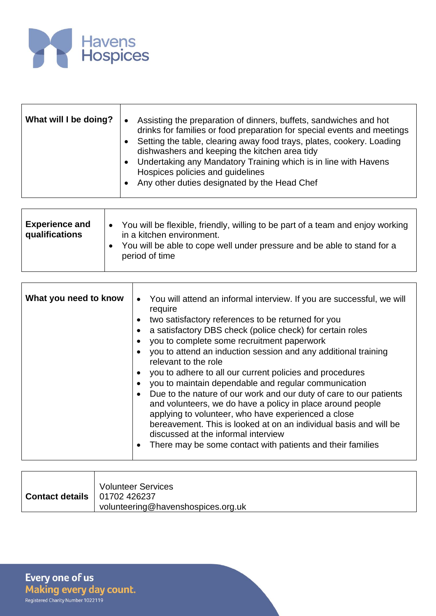

| What will I be doing? | Assisting the preparation of dinners, buffets, sandwiches and hot<br>$\bullet$<br>drinks for families or food preparation for special events and meetings<br>Setting the table, clearing away food trays, plates, cookery. Loading<br>dishwashers and keeping the kitchen area tidy<br>• Undertaking any Mandatory Training which is in line with Havens<br>Hospices policies and guidelines<br>• Any other duties designated by the Head Chef |
|-----------------------|------------------------------------------------------------------------------------------------------------------------------------------------------------------------------------------------------------------------------------------------------------------------------------------------------------------------------------------------------------------------------------------------------------------------------------------------|
|                       |                                                                                                                                                                                                                                                                                                                                                                                                                                                |

| <b>Experience and</b><br>qualifications | You will be flexible, friendly, willing to be part of a team and enjoy working<br>$\bullet$<br>in a kitchen environment.<br>You will be able to cope well under pressure and be able to stand for a<br>period of time |
|-----------------------------------------|-----------------------------------------------------------------------------------------------------------------------------------------------------------------------------------------------------------------------|
|                                         |                                                                                                                                                                                                                       |

| What you need to know | • You will attend an informal interview. If you are successful, we will<br>require<br>two satisfactory references to be returned for you<br>a satisfactory DBS check (police check) for certain roles<br>you to complete some recruitment paperwork<br>you to attend an induction session and any additional training<br>relevant to the role<br>you to adhere to all our current policies and procedures<br>you to maintain dependable and regular communication<br>Due to the nature of our work and our duty of care to our patients<br>and volunteers, we do have a policy in place around people<br>applying to volunteer, who have experienced a close<br>bereavement. This is looked at on an individual basis and will be<br>discussed at the informal interview<br>There may be some contact with patients and their families |
|-----------------------|----------------------------------------------------------------------------------------------------------------------------------------------------------------------------------------------------------------------------------------------------------------------------------------------------------------------------------------------------------------------------------------------------------------------------------------------------------------------------------------------------------------------------------------------------------------------------------------------------------------------------------------------------------------------------------------------------------------------------------------------------------------------------------------------------------------------------------------|
|-----------------------|----------------------------------------------------------------------------------------------------------------------------------------------------------------------------------------------------------------------------------------------------------------------------------------------------------------------------------------------------------------------------------------------------------------------------------------------------------------------------------------------------------------------------------------------------------------------------------------------------------------------------------------------------------------------------------------------------------------------------------------------------------------------------------------------------------------------------------------|

|                                       | <b>Volunteer Services</b>          |
|---------------------------------------|------------------------------------|
| <b>Contact details</b>   01702 426237 |                                    |
|                                       | volunteering@havenshospices.org.uk |